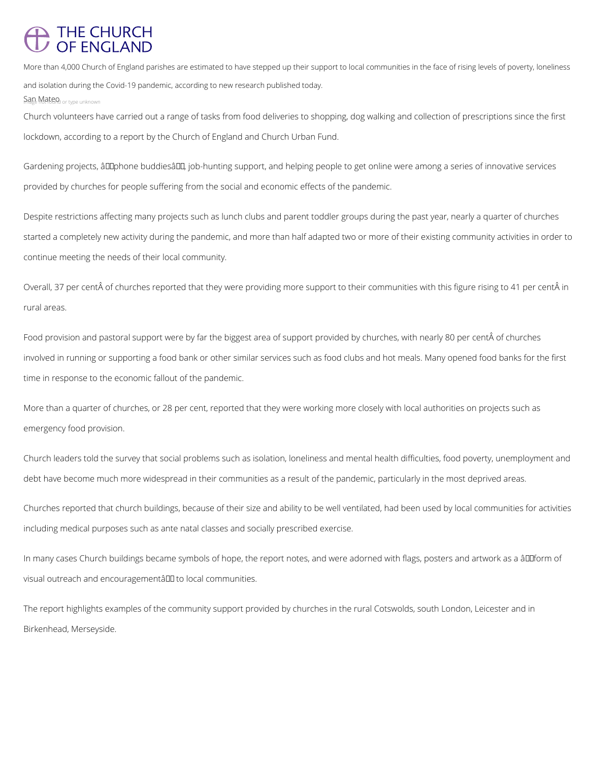## THE CHURCH<br>OF ENGLAND

More than 4,000 Church of England parishes are estimated to have stepped up their support to local communities in the face of rising levels of poverty, loneliness and isolation during the Covid-19 pandemic, according to new research published today.

Sage Matend or type unknown

Gardening projects, â LDphone buddiesâ LD, job-hunting support, and helping people to get online were among a series of innovative services provided by churches for people suffering from the social and economic effects of the pandemic.

Church volunteers have carried out a range of tasks from food deliveries to shopping, dog walking and collection of prescriptions since the first lockdown, according to a report by the Church of England and Church Urban Fund.

Overall, 37 per cent of churches reported that they were providing more support to their communities with this figure rising to 41 per cent in rural areas.

Food provision and pastoral support were by far the biggest area of support provided by churches, with nearly 80 per cent of churches involved in running or supporting a food bank or other similar services such as food clubs and hot meals. Many opened food banks for the first time in response to the economic fallout of the pandemic.

Despite restrictions affecting many projects such as lunch clubs and parent toddler groups during the past year, nearly a quarter of churches started a completely new activity during the pandemic, and more than half adapted two or more of their existing community activities in order to continue meeting the needs of their local community.

More than a quarter of churches, or 28 per cent, reported that they were working more closely with local authorities on projects such as emergency food provision.

Church leaders told the survey that social problems such as isolation, loneliness and mental health difficulties, food poverty, unemployment and debt have become much more widespread in their communities as a result of the pandemic, particularly in the most deprived areas.

Churches reported that church buildings, because of their size and ability to be well ventilated, had been used by local communities for activities including medical purposes such as ante natal classes and socially prescribed exercise.

In many cases Church buildings became symbols of hope, the report notes, and were adorned with flags, posters and artwork as a âll form of

The report highlights examples of the community support provided by churches in the rural Cotswolds, south London, Leicester and in

Birkenhead, Merseyside.